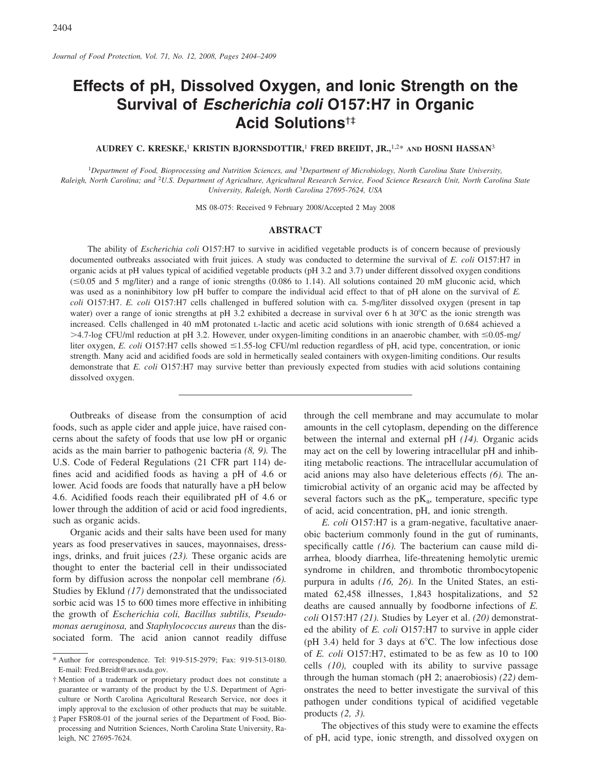# Effects of pH, Dissolved Oxygen, and Ionic Strength on the Survival of Escherichia coli O157:H7 in Organic **Acid Solutions<sup>t‡</sup>**

AUDREY C. KRESKE,<sup>1</sup> KRISTIN BJORNSDOTTIR,<sup>1</sup> FRED BREIDT, JR.,<sup>1,2\*</sup> AND HOSNI HASSAN<sup>3</sup>

<sup>1</sup>Department of Food, Bioprocessing and Nutrition Sciences, and <sup>3</sup>Department of Microbiology, North Carolina State University, Raleigh, North Carolina; and <sup>2</sup>U.S. Department of Agriculture, Agricultural Research Service, Food Science Research Unit, North Carolina State University, Raleigh, North Carolina 27695-7624, USA

MS 08-075: Received 9 February 2008/Accepted 2 May 2008

## **ABSTRACT**

The ability of *Escherichia coli* O157:H7 to survive in acidified vegetable products is of concern because of previously documented outbreaks associated with fruit juices. A study was conducted to determine the survival of E. coli O157:H7 in organic acids at pH values typical of acidified vegetable products (pH 3.2 and 3.7) under different dissolved oxygen conditions  $(\leq 0.05$  and 5 mg/liter) and a range of ionic strengths (0.086 to 1.14). All solutions contained 20 mM gluconic acid, which was used as a noninhibitory low pH buffer to compare the individual acid effect to that of pH alone on the survival of  $E$ . coli O157:H7. E. coli O157:H7 cells challenged in buffered solution with ca. 5-mg/liter dissolved oxygen (present in tap water) over a range of ionic strengths at pH 3.2 exhibited a decrease in survival over 6 h at  $30^{\circ}$ C as the ionic strength was increased. Cells challenged in 40 mM protonated L-lactic and acetic acid solutions with ionic strength of 0.684 achieved a >4.7-log CFU/ml reduction at pH 3.2. However, under oxygen-limiting conditions in an anaerobic chamber, with  $\leq 0.05$ -mg/ liter oxygen, E. coli O157:H7 cells showed  $\leq$ 1.55-log CFU/ml reduction regardless of pH, acid type, concentration, or ionic strength. Many acid and acidified foods are sold in hermetically sealed containers with oxygen-limiting conditions. Our results demonstrate that E. coli O157:H7 may survive better than previously expected from studies with acid solutions containing dissolved oxygen.

Outbreaks of disease from the consumption of acid foods, such as apple cider and apple juice, have raised concerns about the safety of foods that use low pH or organic acids as the main barrier to pathogenic bacteria  $(8, 9)$ . The U.S. Code of Federal Regulations (21 CFR part 114) defines acid and acidified foods as having a pH of 4.6 or lower. Acid foods are foods that naturally have a pH below 4.6. Acidified foods reach their equilibrated pH of 4.6 or lower through the addition of acid or acid food ingredients, such as organic acids.

Organic acids and their salts have been used for many years as food preservatives in sauces, mayonnaises, dressings, drinks, and fruit juices (23). These organic acids are thought to enter the bacterial cell in their undissociated form by diffusion across the nonpolar cell membrane (6). Studies by Eklund (17) demonstrated that the undissociated sorbic acid was 15 to 600 times more effective in inhibiting the growth of Escherichia coli, Bacillus subtilis, Pseudomonas aeruginosa, and Staphylococcus aureus than the dissociated form. The acid anion cannot readily diffuse

through the cell membrane and may accumulate to molar amounts in the cell cytoplasm, depending on the difference between the internal and external pH  $(14)$ . Organic acids may act on the cell by lowering intracellular pH and inhibiting metabolic reactions. The intracellular accumulation of acid anions may also have deleterious effects (6). The antimicrobial activity of an organic acid may be affected by several factors such as the  $pK_a$ , temperature, specific type of acid, acid concentration, pH, and ionic strength.

E. coli O157:H7 is a gram-negative, facultative anaerobic bacterium commonly found in the gut of ruminants, specifically cattle  $(16)$ . The bacterium can cause mild diarrhea, bloody diarrhea, life-threatening hemolytic uremic syndrome in children, and thrombotic thrombocytopenic purpura in adults  $(16, 26)$ . In the United States, an estimated 62,458 illnesses, 1,843 hospitalizations, and 52 deaths are caused annually by foodborne infections of  $E$ . coli O157:H7 (21). Studies by Leyer et al. (20) demonstrated the ability of  $E$ . *coli* O157:H7 to survive in apple cider (pH 3.4) held for 3 days at  $6^{\circ}$ C. The low infectious dose of E. coli O157:H7, estimated to be as few as 10 to 100 cells (10), coupled with its ability to survive passage through the human stomach (pH 2; anaerobiosis) (22) demonstrates the need to better investigate the survival of this pathogen under conditions typical of acidified vegetable products  $(2, 3)$ .

The objectives of this study were to examine the effects of pH, acid type, ionic strength, and dissolved oxygen on

<sup>\*</sup> Author for correspondence. Tel: 919-515-2979; Fax: 919-513-0180. E-mail: Fred.Breidt@ars.usda.gov.

<sup>†</sup> Mention of a trademark or proprietary product does not constitute a guarantee or warranty of the product by the U.S. Department of Agriculture or North Carolina Agricultural Research Service, nor does it imply approval to the exclusion of other products that may be suitable.

<sup>#</sup> Paper FSR08-01 of the journal series of the Department of Food, Bioprocessing and Nutrition Sciences, North Carolina State University, Raleigh, NC 27695-7624.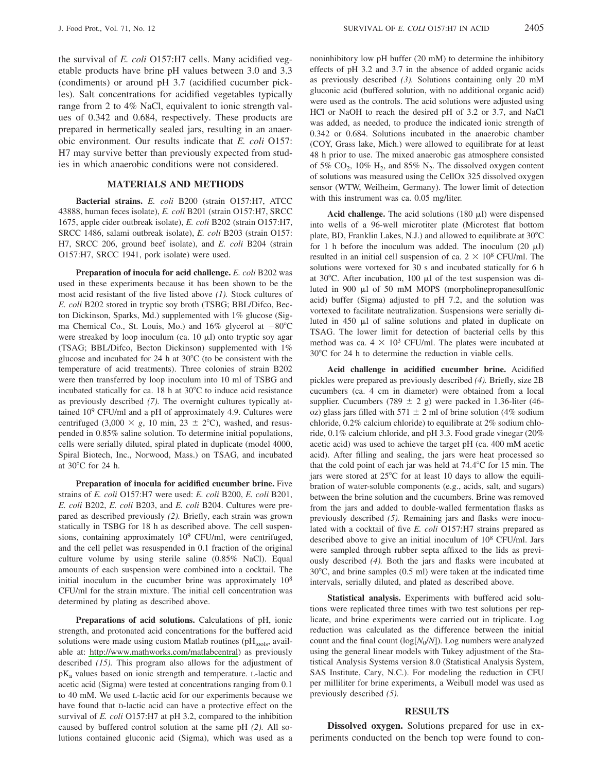2405

the survival of E. coli O157:H7 cells. Many acidified vegetable products have brine pH values between 3.0 and 3.3 (condiments) or around pH 3.7 (acidified cucumber pickles). Salt concentrations for acidified vegetables typically range from 2 to 4% NaCl, equivalent to ionic strength values of 0.342 and 0.684, respectively. These products are prepared in hermetically sealed jars, resulting in an anaerobic environment. Our results indicate that E. coli O157: H7 may survive better than previously expected from studies in which anaerobic conditions were not considered.

# **MATERIALS AND METHODS**

Bacterial strains. E. coli B200 (strain O157:H7, ATCC 43888, human feces isolate), E. coli B201 (strain O157:H7, SRCC 1675, apple cider outbreak isolate), E. coli B202 (strain O157:H7, SRCC 1486, salami outbreak isolate), E. coli B203 (strain O157: H7, SRCC 206, ground beef isolate), and E. coli B204 (strain O157:H7, SRCC 1941, pork isolate) were used.

Preparation of inocula for acid challenge. E. coli B202 was used in these experiments because it has been shown to be the most acid resistant of the five listed above  $(1)$ . Stock cultures of E. coli B202 stored in tryptic soy broth (TSBG; BBL/Difco, Becton Dickinson, Sparks, Md.) supplemented with 1% glucose (Sigma Chemical Co., St. Louis, Mo.) and 16% glycerol at  $-80^{\circ}$ C were streaked by loop inoculum (ca. 10  $\mu$ I) onto tryptic soy agar (TSAG; BBL/Difco, Becton Dickinson) supplemented with 1% glucose and incubated for 24 h at 30°C (to be consistent with the temperature of acid treatments). Three colonies of strain B202 were then transferred by loop inoculum into 10 ml of TSBG and incubated statically for ca. 18 h at 30°C to induce acid resistance as previously described (7). The overnight cultures typically attained  $10^9$  CFU/ml and a pH of approximately 4.9. Cultures were centrifuged (3,000  $\times$  g, 10 min, 23  $\pm$  2°C), washed, and resuspended in 0.85% saline solution. To determine initial populations, cells were serially diluted, spiral plated in duplicate (model 4000, Spiral Biotech, Inc., Norwood, Mass.) on TSAG, and incubated at 30°C for 24 h.

Preparation of inocula for acidified cucumber brine. Five strains of E. coli O157:H7 were used: E. coli B200, E. coli B201, E. coli B202, E. coli B203, and E. coli B204. Cultures were prepared as described previously (2). Briefly, each strain was grown statically in TSBG for 18 h as described above. The cell suspensions, containing approximately 10<sup>9</sup> CFU/ml, were centrifuged, and the cell pellet was resuspended in 0.1 fraction of the original culture volume by using sterile saline (0.85% NaCl). Equal amounts of each suspension were combined into a cocktail. The initial inoculum in the cucumber brine was approximately 10<sup>8</sup> CFU/ml for the strain mixture. The initial cell concentration was determined by plating as described above.

Preparations of acid solutions. Calculations of pH, ionic strength, and protonated acid concentrations for the buffered acid solutions were made using custom Matlab routines (pHtools, available at: http://www.mathworks.com/matlabcentral) as previously described  $(15)$ . This program also allows for the adjustment of  $pK_a$  values based on ionic strength and temperature. L-lactic and acetic acid (Sigma) were tested at concentrations ranging from 0.1 to 40 mM. We used L-lactic acid for our experiments because we have found that D-lactic acid can have a protective effect on the survival of E. coli O157:H7 at pH 3.2, compared to the inhibition caused by buffered control solution at the same pH (2). All solutions contained gluconic acid (Sigma), which was used as a noninhibitory low pH buffer (20 mM) to determine the inhibitory effects of pH 3.2 and 3.7 in the absence of added organic acids as previously described  $(3)$ . Solutions containing only 20 mM gluconic acid (buffered solution, with no additional organic acid) were used as the controls. The acid solutions were adjusted using HCl or NaOH to reach the desired pH of 3.2 or 3.7, and NaCl was added, as needed, to produce the indicated ionic strength of 0.342 or 0.684. Solutions incubated in the anaerobic chamber (COY, Grass lake, Mich.) were allowed to equilibrate for at least 48 h prior to use. The mixed anaerobic gas atmosphere consisted of 5%  $CO_2$ , 10%  $H_2$ , and 85%  $N_2$ . The dissolved oxygen content of solutions was measured using the CellOx 325 dissolved oxygen sensor (WTW, Weilheim, Germany). The lower limit of detection with this instrument was ca. 0.05 mg/liter.

Acid challenge. The acid solutions (180  $\mu$ l) were dispensed into wells of a 96-well microtiter plate (Microtest flat bottom plate, BD, Franklin Lakes, N.J.) and allowed to equilibrate at 30°C for 1 h before the inoculum was added. The inoculum  $(20 \mu l)$ resulted in an initial cell suspension of ca.  $2 \times 10^8$  CFU/ml. The solutions were vortexed for 30 s and incubated statically for 6 h at  $30^{\circ}$ C. After incubation, 100 µl of the test suspension was diluted in 900 µl of 50 mM MOPS (morpholinepropanesulfonic acid) buffer (Sigma) adjusted to pH 7.2, and the solution was vortexed to facilitate neutralization. Suspensions were serially diluted in 450 µl of saline solutions and plated in duplicate on TSAG. The lower limit for detection of bacterial cells by this method was ca.  $4 \times 10^3$  CFU/ml. The plates were incubated at 30°C for 24 h to determine the reduction in viable cells.

Acid challenge in acidified cucumber brine. Acidified pickles were prepared as previously described (4). Briefly, size 2B cucumbers (ca. 4 cm in diameter) were obtained from a local supplier. Cucumbers (789  $\pm$  2 g) were packed in 1.36-liter (46oz) glass jars filled with 571  $\pm$  2 ml of brine solution (4% sodium chloride, 0.2% calcium chloride) to equilibrate at 2% sodium chloride, 0.1% calcium chloride, and pH 3.3. Food grade vinegar (20%) acetic acid) was used to achieve the target pH (ca. 400 mM acetic acid). After filling and sealing, the jars were heat processed so that the cold point of each jar was held at 74.4°C for 15 min. The jars were stored at 25°C for at least 10 days to allow the equilibration of water-soluble components (e.g., acids, salt, and sugars) between the brine solution and the cucumbers. Brine was removed from the jars and added to double-walled fermentation flasks as previously described  $(5)$ . Remaining jars and flasks were inoculated with a cocktail of five E. coli O157:H7 strains prepared as described above to give an initial inoculum of  $10<sup>8</sup>$  CFU/ml. Jars were sampled through rubber septa affixed to the lids as previously described (4). Both the jars and flasks were incubated at  $30^{\circ}$ C, and brine samples (0.5 ml) were taken at the indicated time intervals, serially diluted, and plated as described above.

Statistical analysis. Experiments with buffered acid solutions were replicated three times with two test solutions per replicate, and brine experiments were carried out in triplicate. Log reduction was calculated as the difference between the initial count and the final count ( $log[N_0/N]$ ). Log numbers were analyzed using the general linear models with Tukey adjustment of the Statistical Analysis Systems version 8.0 (Statistical Analysis System, SAS Institute, Cary, N.C.). For modeling the reduction in CFU per milliliter for brine experiments, a Weibull model was used as previously described  $(5)$ .

#### **RESULTS**

**Dissolved oxygen.** Solutions prepared for use in experiments conducted on the bench top were found to con-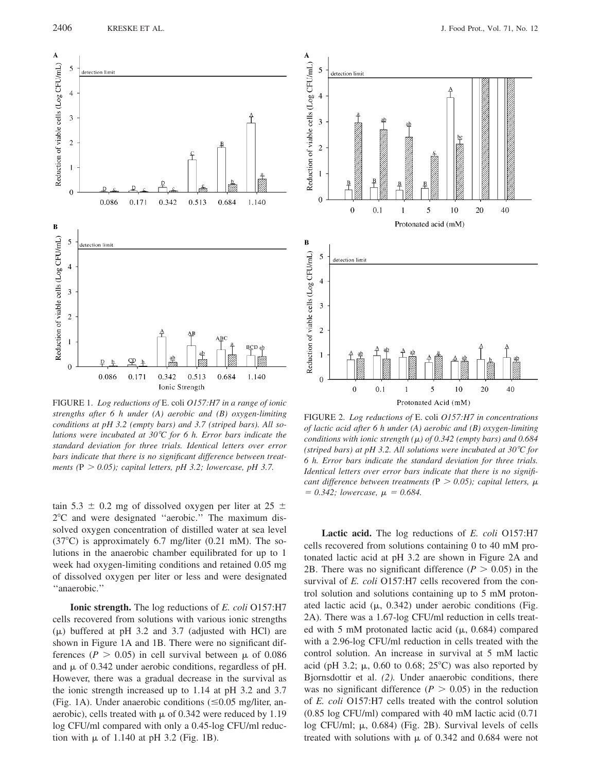

FIGURE 1. Log reductions of E. coli 0157:H7 in a range of ionic strengths after  $6$  h under  $(A)$  aerobic and  $(B)$  oxygen-limiting conditions at pH 3.2 (empty bars) and 3.7 (striped bars). All solutions were incubated at  $30^{\circ}$ C for 6 h. Error bars indicate the standard deviation for three trials. Identical letters over error bars indicate that there is no significant difference between treatments (P  $> 0.05$ ); capital letters, pH 3.2; lowercase, pH 3.7.

tain 5.3  $\pm$  0.2 mg of dissolved oxygen per liter at 25  $\pm$ 2°C and were designated "aerobic." The maximum dissolved oxygen concentration of distilled water at sea level  $(37^{\circ}C)$  is approximately 6.7 mg/liter (0.21 mM). The solutions in the anaerobic chamber equilibrated for up to 1 week had oxygen-limiting conditions and retained 0.05 mg of dissolved oxygen per liter or less and were designated "anaerobic."

**Ionic strength.** The log reductions of *E. coli* O157:H7 cells recovered from solutions with various ionic strengths  $(\mu)$  buffered at pH 3.2 and 3.7 (adjusted with HCl) are shown in Figure 1A and 1B. There were no significant differences ( $P > 0.05$ ) in cell survival between  $\mu$  of 0.086 and  $\mu$  of 0.342 under aerobic conditions, regardless of pH. However, there was a gradual decrease in the survival as the ionic strength increased up to  $1.14$  at pH 3.2 and 3.7 (Fig. 1A). Under anaerobic conditions  $(\leq 0.05 \text{ mg/liter}, \text{an}$ aerobic), cells treated with  $\mu$  of 0.342 were reduced by 1.19 log CFU/ml compared with only a 0.45-log CFU/ml reduction with  $\mu$  of 1.140 at pH 3.2 (Fig. 1B).



FIGURE 2. Log reductions of E. coli O157:H7 in concentrations of lactic acid after 6 h under (A) aerobic and  $(B)$  oxygen-limiting conditions with ionic strength  $(\mu)$  of 0.342 (empty bars) and 0.684 (striped bars) at pH 3.2. All solutions were incubated at 30 $^{\circ}$ C for 6 h. Error bars indicate the standard deviation for three trials. Identical letters over error bars indicate that there is no significant difference between treatments ( $P > 0.05$ ); capital letters,  $\mu$  $= 0.342$ ; lowercase,  $\mu = 0.684$ .

**Lactic acid.** The log reductions of *E. coli* O157:H7 cells recovered from solutions containing 0 to 40 mM protonated lactic acid at pH 3.2 are shown in Figure 2A and 2B. There was no significant difference ( $P > 0.05$ ) in the survival of *E. coli* O157:H7 cells recovered from the control solution and solutions containing up to 5 mM protonated lactic acid  $(\mu, 0.342)$  under aerobic conditions (Fig. 2A). There was a 1.67-log CFU/ml reduction in cells treated with 5 mM protonated lactic acid ( $\mu$ , 0.684) compared with a 2.96-log CFU/ml reduction in cells treated with the control solution. An increase in survival at 5 mM lactic acid (pH 3.2;  $\mu$ , 0.60 to 0.68; 25<sup>o</sup>C) was also reported by Bjornsdottir et al. (2). Under anaerobic conditions, there was no significant difference ( $P > 0.05$ ) in the reduction of E. coli O157:H7 cells treated with the control solution  $(0.85 \log CFU/ml)$  compared with 40 mM lactic acid  $(0.71$ log CFU/ml;  $\mu$ , 0.684) (Fig. 2B). Survival levels of cells treated with solutions with  $\mu$  of 0.342 and 0.684 were not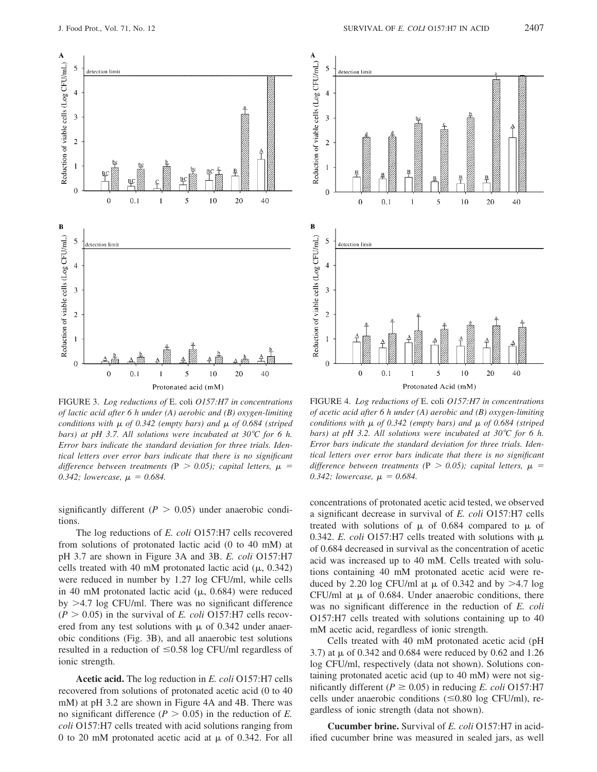

FIGURE 3. Log reductions of E. coli O157:H7 in concentrations of lactic acid after 6 h under (A) aerobic and  $(B)$  oxygen-limiting conditions with  $\mu$  of 0.342 (empty bars) and  $\mu$  of 0.684 (striped bars) at pH 3.7. All solutions were incubated at 30 $^{\circ}$ C for 6 h. Error bars indicate the standard deviation for three trials. Identical letters over error bars indicate that there is no significant difference between treatments (P  $> 0.05$ ); capital letters,  $\mu$  = 0.342; lowercase,  $\mu = 0.684$ .

significantly different ( $P > 0.05$ ) under anaerobic conditions.

The log reductions of E. coli O157:H7 cells recovered from solutions of protonated lactic acid (0 to 40 mM) at pH 3.7 are shown in Figure 3A and 3B. E. coli O157:H7 cells treated with 40 mM protonated lactic acid ( $\mu$ , 0.342) were reduced in number by 1.27 log CFU/ml, while cells in 40 mM protonated lactic acid ( $\mu$ , 0.684) were reduced by  $>4.7$  log CFU/ml. There was no significant difference  $(P > 0.05)$  in the survival of *E. coli* O157:H7 cells recovered from any test solutions with  $\mu$  of 0.342 under anaerobic conditions (Fig. 3B), and all anaerobic test solutions resulted in a reduction of  $\leq 0.58$  log CFU/ml regardless of ionic strength.

**Acetic acid.** The log reduction in *E. coli* O157:H7 cells recovered from solutions of protonated acetic acid (0 to 40 mM) at pH 3.2 are shown in Figure 4A and 4B. There was no significant difference ( $P > 0.05$ ) in the reduction of E. *coli* O157:H7 cells treated with acid solutions ranging from 0 to 20 mM protonated acetic acid at  $\mu$  of 0.342. For all



FIGURE 4. Log reductions of E. coli O157:H7 in concentrations of acetic acid after 6 h under (A) aerobic and (B) oxygen-limiting conditions with  $\mu$  of 0.342 (empty bars) and  $\mu$  of 0.684 (striped bars) at pH 3.2. All solutions were incubated at 30 $\degree$ C for 6 h. Error bars indicate the standard deviation for three trials. Identical letters over error bars indicate that there is no significant difference between treatments (P  $>$  0.05); capital letters,  $\mu$  = 0.342; lowercase,  $\mu = 0.684$ .

concentrations of protonated acetic acid tested, we observed a significant decrease in survival of E. coli O157:H7 cells treated with solutions of  $\mu$  of 0.684 compared to  $\mu$  of 0.342. E. coli O157:H7 cells treated with solutions with  $\mu$ of 0.684 decreased in survival as the concentration of acetic acid was increased up to 40 mM. Cells treated with solutions containing 40 mM protonated acetic acid were reduced by 2.20 log CFU/ml at  $\mu$  of 0.342 and by >4.7 log CFU/ml at  $\mu$  of 0.684. Under anaerobic conditions, there was no significant difference in the reduction of E. coli O157:H7 cells treated with solutions containing up to 40 mM acetic acid, regardless of ionic strength.

Cells treated with 40 mM protonated acetic acid (pH 3.7) at  $\mu$  of 0.342 and 0.684 were reduced by 0.62 and 1.26 log CFU/ml, respectively (data not shown). Solutions containing protonated acetic acid (up to 40 mM) were not significantly different ( $P \ge 0.05$ ) in reducing E. coli O157:H7 cells under anaerobic conditions  $(\leq 0.80 \log CFU/ml)$ , regardless of ionic strength (data not shown).

**Cucumber brine.** Survival of *E. coli* O157:H7 in acidified cucumber brine was measured in sealed jars, as well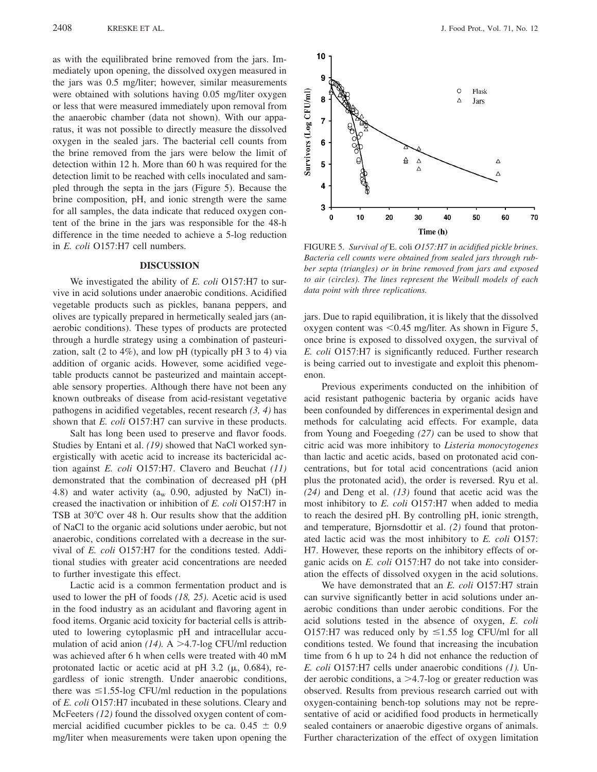as with the equilibrated brine removed from the jars. Immediately upon opening, the dissolved oxygen measured in the jars was 0.5 mg/liter; however, similar measurements were obtained with solutions having 0.05 mg/liter oxygen or less that were measured immediately upon removal from the anaerobic chamber (data not shown). With our apparatus, it was not possible to directly measure the dissolved oxygen in the sealed jars. The bacterial cell counts from the brine removed from the jars were below the limit of detection within 12 h. More than 60 h was required for the detection limit to be reached with cells inoculated and sampled through the septa in the jars (Figure 5). Because the brine composition, pH, and ionic strength were the same for all samples, the data indicate that reduced oxygen content of the brine in the jars was responsible for the 48-h difference in the time needed to achieve a 5-log reduction in E. coli O157:H7 cell numbers.

## **DISCUSSION**

We investigated the ability of E. coli O157:H7 to survive in acid solutions under anaerobic conditions. Acidified vegetable products such as pickles, banana peppers, and olives are typically prepared in hermetically sealed jars (anaerobic conditions). These types of products are protected through a hurdle strategy using a combination of pasteurization, salt (2 to 4%), and low pH (typically pH  $3$  to 4) via addition of organic acids. However, some acidified vegetable products cannot be pasteurized and maintain acceptable sensory properties. Although there have not been any known outbreaks of disease from acid-resistant vegetative pathogens in acidified vegetables, recent research  $(3, 4)$  has shown that E. coli O157:H7 can survive in these products.

Salt has long been used to preserve and flavor foods. Studies by Entani et al. (19) showed that NaCl worked synergistically with acetic acid to increase its bactericidal action against E. coli O157:H7. Clavero and Beuchat  $(11)$ demonstrated that the combination of decreased pH (pH 4.8) and water activity ( $a_w$  0.90, adjusted by NaCl) increased the inactivation or inhibition of E. coli O157:H7 in TSB at 30<sup>o</sup>C over 48 h. Our results show that the addition of NaCl to the organic acid solutions under aerobic, but not anaerobic, conditions correlated with a decrease in the survival of E. coli O157:H7 for the conditions tested. Additional studies with greater acid concentrations are needed to further investigate this effect.

Lactic acid is a common fermentation product and is used to lower the pH of foods  $(18, 25)$ . Acetic acid is used in the food industry as an acidulant and flavoring agent in food items. Organic acid toxicity for bacterial cells is attributed to lowering cytoplasmic pH and intracellular accumulation of acid anion (14). A >4.7-log CFU/ml reduction was achieved after 6 h when cells were treated with 40 mM protonated lactic or acetic acid at pH 3.2 ( $\mu$ , 0.684), regardless of ionic strength. Under anaerobic conditions, there was  $\leq$ 1.55-log CFU/ml reduction in the populations of E. coli O157:H7 incubated in these solutions. Cleary and McFeeters (12) found the dissolved oxygen content of commercial acidified cucumber pickles to be ca.  $0.45 \pm 0.9$ mg/liter when measurements were taken upon opening the



FIGURE 5. Survival of E. coli O157:H7 in acidified pickle brines. Bacteria cell counts were obtained from sealed jars through rubber septa (triangles) or in brine removed from jars and exposed to air (circles). The lines represent the Weibull models of each data point with three replications.

jars. Due to rapid equilibration, it is likely that the dissolved oxygen content was  $\leq 0.45$  mg/liter. As shown in Figure 5, once brine is exposed to dissolved oxygen, the survival of E. coli O157:H7 is significantly reduced. Further research is being carried out to investigate and exploit this phenomenon.

Previous experiments conducted on the inhibition of acid resistant pathogenic bacteria by organic acids have been confounded by differences in experimental design and methods for calculating acid effects. For example, data from Young and Foegeding (27) can be used to show that citric acid was more inhibitory to Listeria monocytogenes than lactic and acetic acids, based on protonated acid concentrations, but for total acid concentrations (acid anion plus the protonated acid), the order is reversed. Ryu et al.  $(24)$  and Deng et al.  $(13)$  found that acetic acid was the most inhibitory to E. coli O157:H7 when added to media to reach the desired pH. By controlling pH, ionic strength, and temperature, Bjornsdottir et al. (2) found that protonated lactic acid was the most inhibitory to E. coli O157: H7. However, these reports on the inhibitory effects of organic acids on *E. coli* O157:H7 do not take into consideration the effects of dissolved oxygen in the acid solutions.

We have demonstrated that an E. coli O157:H7 strain can survive significantly better in acid solutions under anaerobic conditions than under aerobic conditions. For the acid solutions tested in the absence of oxygen, E. coli O157:H7 was reduced only by  $\leq$ 1.55 log CFU/ml for all conditions tested. We found that increasing the incubation time from 6 h up to 24 h did not enhance the reduction of E. coli O157:H7 cells under anaerobic conditions (1). Under aerobic conditions,  $a > 4.7$ -log or greater reduction was observed. Results from previous research carried out with oxygen-containing bench-top solutions may not be representative of acid or acidified food products in hermetically sealed containers or anaerobic digestive organs of animals. Further characterization of the effect of oxygen limitation